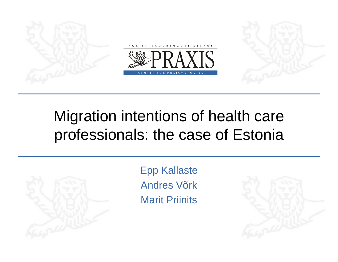

#### Migration intentions of health care professionals: the case of Estonia



Epp Kallaste Andres VõrkMarit Priinits

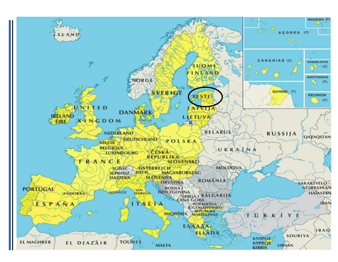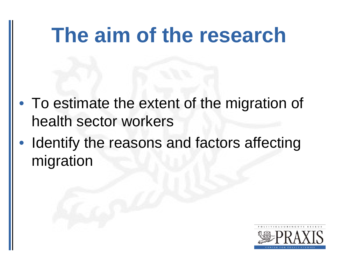## **The aim of the research**

- To estimate the extent of the migration of health sector workers
- $\bullet$  Identify the reasons and factors affecting migration

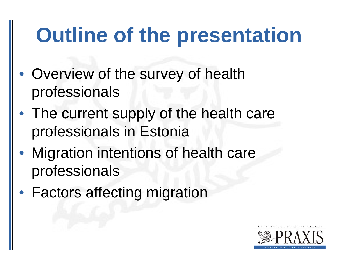# **Outline of the presentation**

- Overview of the survey of health professionals
- The current supply of the health care professionals in Estonia
- • Migration intentions of health care professionals
- Factors affecting migration

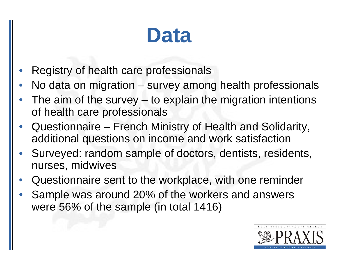#### **Data**

- •Registry of health care professionals
- •No data on migration – survey among health professionals
- • The aim of the survey – to explain the migration intentions of health care professionals
- $\bullet$  Questionnaire – French Ministry of Health and Solidarity, additional questions on income and work satisfaction
- • Surveyed: random sample of doctors, dentists, residents, nurses, midwives
- •Questionnaire sent to the workplace, with one reminder
- • Sample was around 20% of the workers and answers were 56% of the sample (in total 1416)

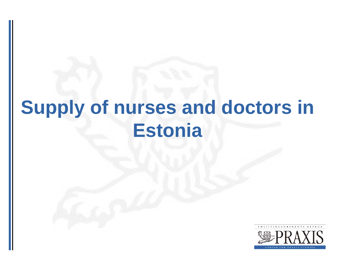#### **Supply of nurses and doctors in Estonia**

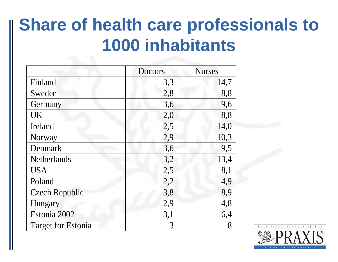#### **Share of health care professionals to 1000 inhabitants**

|                           | <b>Doctors</b> | <b>Nurses</b> |  |
|---------------------------|----------------|---------------|--|
| Finland                   | 3,3            | 14,7          |  |
| Sweden                    | 2,8            | 8,8           |  |
| Germany                   | 3,6            | 9,6           |  |
| <b>UK</b>                 | 2,0            | 8,8           |  |
| Ireland                   | 2,5            | 14,0          |  |
| Norway                    | 2,9            | 10,3          |  |
| Denmark                   | 3,6            | 9,5           |  |
| Netherlands               | 3,2            | 13,4          |  |
| <b>USA</b>                | 2,5            | 8,1           |  |
| Poland                    | 2,2            | 4,9           |  |
| <b>Czech Republic</b>     | 3,8            | 8,9           |  |
| Hungary                   | 2,9            | 4,8           |  |
| Estonia 2002              | 3,1            | 6,4           |  |
| <b>Target for Estonia</b> | 3              | 8             |  |

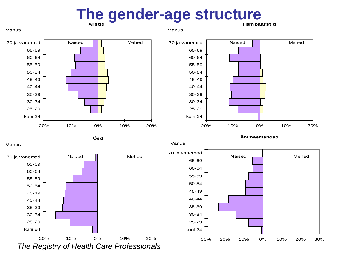#### **ArstidThe gender-age structure**

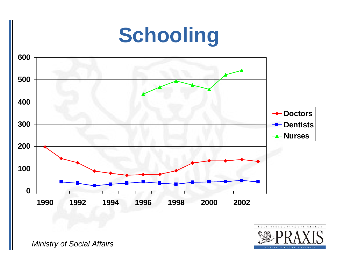## **Schooling**





*Ministry of Social Affairs*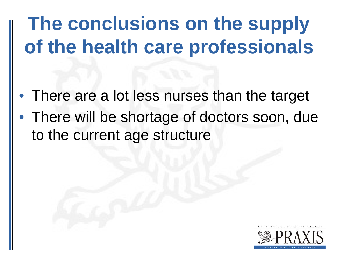#### **The conclusions on the supply of the health care professionals**

- There are a lot less nurses than the target
- There will be shortage of doctors soon, due to the current age structure

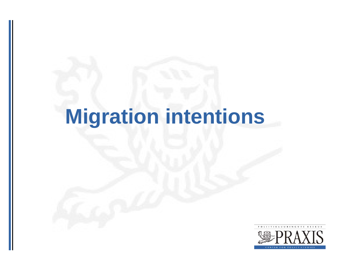# **Migration intentions**

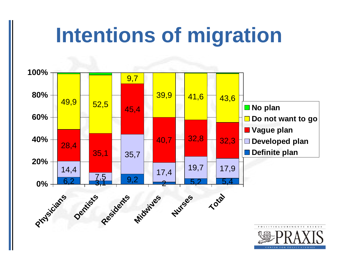# **Intentions of migration**

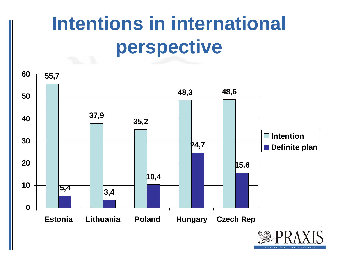#### **Intentions in international perspective**

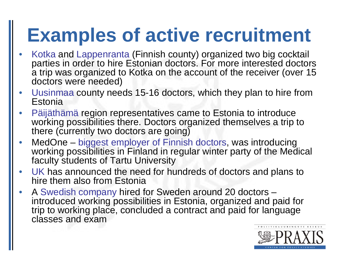#### **Examples of active recruitment**

- •• Kotka and Lappenranta (Finnish county) organized two big cocktail parties in order to hire Estonian doctors. For more interested doctors a trip was organized to Kotka on the account of the receiver (over 15 doctors were needed)
- $\bullet$  Uusinmaa county needs 15-16 doctors, which they plan to hire from **Estonia**
- • Päijäthämä region representatives came to Estonia to introduce working possibilities there. Doctors organized themselves a trip to there (currently two doctors are going)
- $\bullet$  MedOne – biggest employer of Finnish doctors, was introducing working possibilities in Finland in regular winter party of the Medical faculty students of Tartu University
- $\bullet$  UK has announced the need for hundreds of doctors and plans to hire them also from Estonia
- $\bullet$  A Swedish company hired for Sweden around 20 doctors – introduced working possibilities in Estonia, organized and paid for trip to working place, concluded a contract and paid for language classes and exam

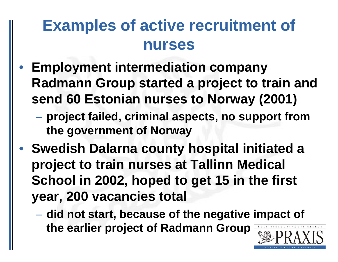#### **Examples of active recruitment of nurses**

- $\bullet$  **Employment intermediation company Radmann Group started a project to train and send 60 Estonian nurses to Norway (2001)**
	- $\mathcal{L}_{\mathcal{A}}$  **project failed, criminal aspects, no support from the government of Norway**
- $\bullet$  **Swedish Dalarna county hospital initiated a project to train nurses at Tallinn Medical School in 2002, hoped to get 15 in the first year, 200 vacancies total**
	- $\mathcal{L}_{\mathcal{A}}$  , and the set of the set of the set of the set of the set of the set of the set of the set of the set of the set of the set of the set of the set of the set of the set of the set of the set of the set of th **did not start, because of the negative impact of the earlier project of Radmann Group**

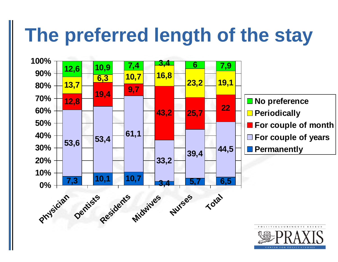## **The preferred length of the stay**

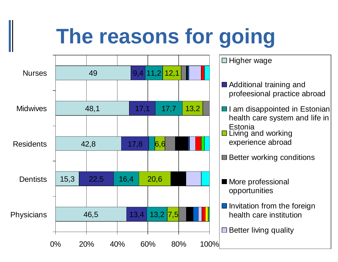# **The reasons for going**

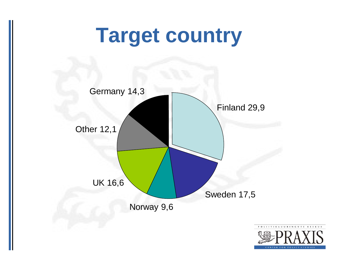#### **Target country**

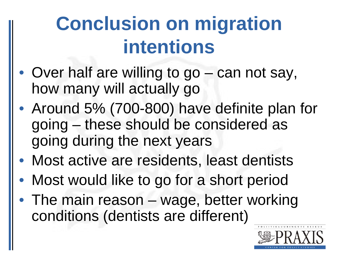## **Conclusion on migration intentions**

- Over half are willing to go can not say, how many will actually go
- Around 5% (700-800) have definite plan for going – these should be considered as going during the next years
- Most active are residents, least dentists
- Most would like to go for a short period
- The main reason wage, better working conditions (dentists are different)

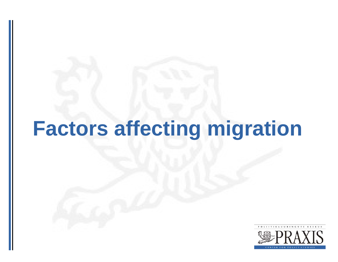# **Factors affecting migration**

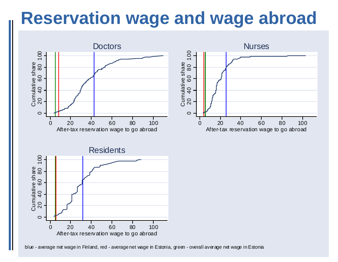#### **Reservation wage and wage abroad**



blue - average net wage in Finland, red - average net wage in Estonia, green - overall average net wage in Estonia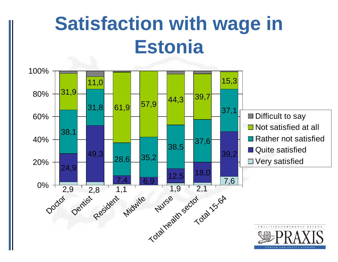#### **Satisfaction with wage in Estonia**

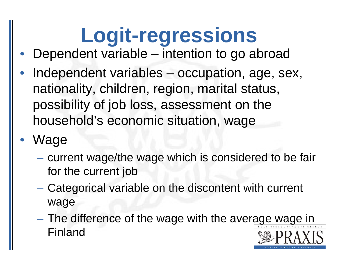# **Logit-regressions**

- •Dependent variable – intention to go abroad
- • Independent variables – occupation, age, sex, nationality, children, region, marital status, possibility of job loss, assessment on the household's economic situation, wage
- • Wage
	- $\mathcal{L}_{\mathcal{A}}$  , and the set of the set of the set of the set of the set of the set of the set of the set of the set of the set of the set of the set of the set of the set of the set of the set of the set of the set of th  $-$  current wage/the wage which is considered to be fair for the current job
	- $\mathcal{L}_{\mathcal{A}}$  , and the set of the set of the set of the set of the set of the set of the set of the set of the set of the set of the set of the set of the set of the set of the set of the set of the set of the set of th Categorical variable on the discontent with current wage
	- $\mathcal{L}_{\mathcal{A}}$  , and the set of the set of the set of the set of the set of the set of the set of the set of the set of the set of the set of the set of the set of the set of the set of the set of the set of the set of th The difference of the wage with the average wage in Finland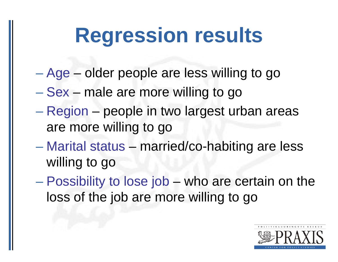## **Regression results**

- Age older people are less willing to go
- Sex male are more willing to go
- Region people in two largest urban areas are more willing to go
- Marital status married/co-habiting are less willing to go
- Possibility to lose job who are certain on the loss of the job are more willing to go

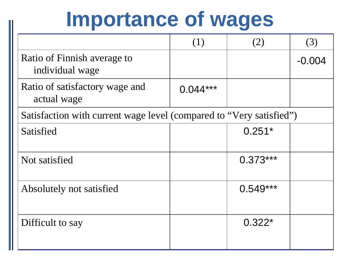## **Importance of wages**

|                                                                     | (1)        | (2)        | (3)      |  |
|---------------------------------------------------------------------|------------|------------|----------|--|
| Ratio of Finnish average to<br>individual wage                      |            |            | $-0.004$ |  |
| Ratio of satisfactory wage and<br>actual wage                       | $0.044***$ |            |          |  |
| Satisfaction with current wage level (compared to "Very satisfied") |            |            |          |  |
| Satisfied                                                           |            | $0.251*$   |          |  |
| Not satisfied                                                       |            | $0.373***$ |          |  |
| Absolutely not satisfied                                            |            | $0.549***$ |          |  |
| Difficult to say                                                    |            | $0.322*$   |          |  |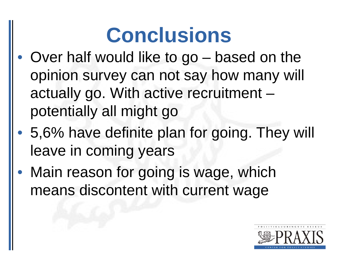# **Conclusions**

- • Over half would like to go – based on the opinion survey can not say how many will actually go. With active recruitment – potentially all might go
- $\bullet$  5,6% have definite plan for going. They will leave in coming years
- $\bullet$  Main reason for going is wage, which means discontent with current wage